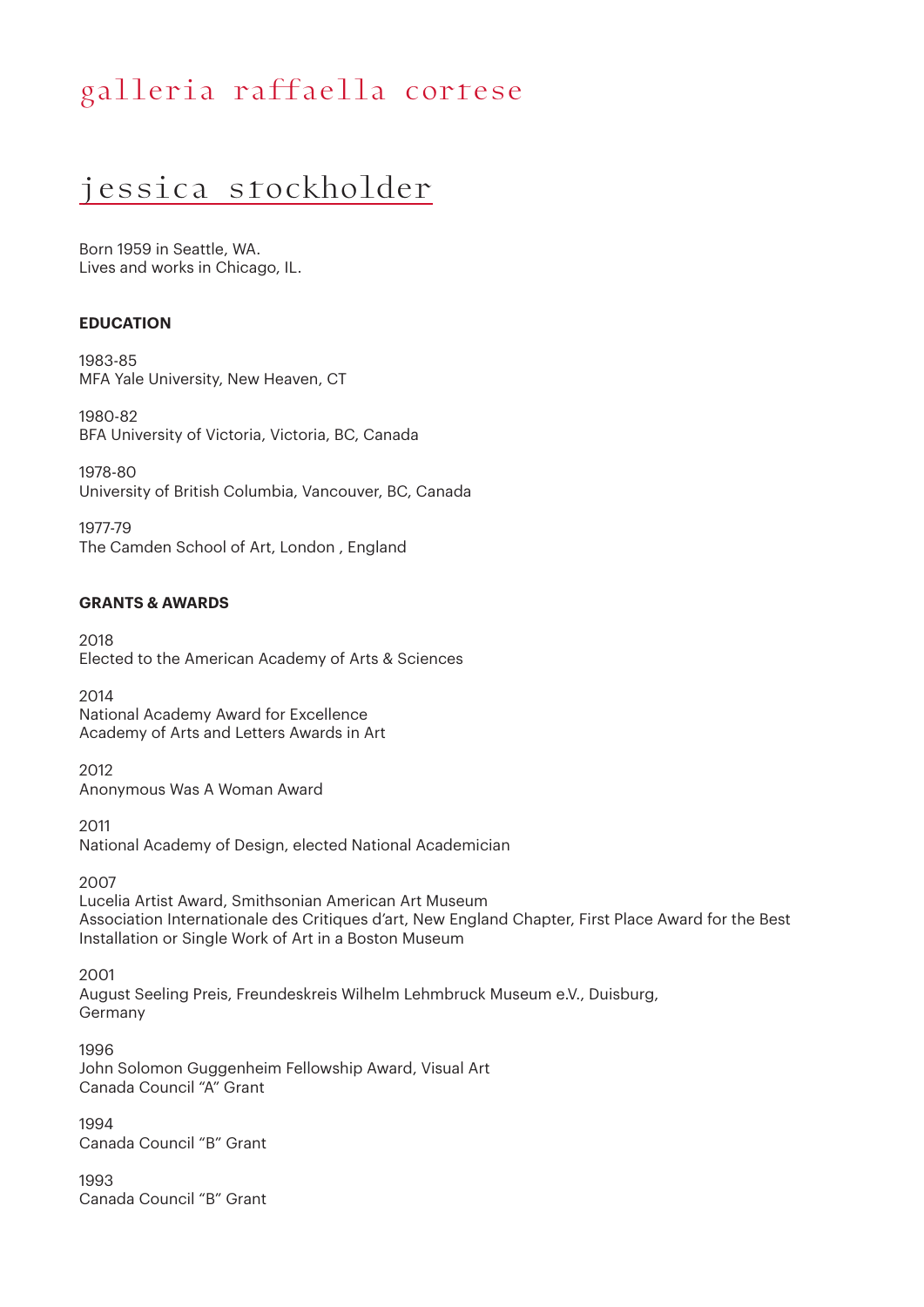# jessica stockholder

Born 1959 in Seattle, WA. Lives and works in Chicago, IL.

### **EDUCATION**

1983-85 MFA Yale University, New Heaven, CT

1980-82 BFA University of Victoria, Victoria, BC, Canada

1978-80 University of British Columbia, Vancouver, BC, Canada

1977-79 The Camden School of Art, London , England

### **GRANTS & AWARDS**

2018 Elected to the American Academy of Arts & Sciences

2014 National Academy Award for Excellence Academy of Arts and Letters Awards in Art

2012 Anonymous Was A Woman Award

2011 National Academy of Design, elected National Academician

2007

Lucelia Artist Award, Smithsonian American Art Museum Association Internationale des Critiques d'art, New England Chapter, First Place Award for the Best Installation or Single Work of Art in a Boston Museum

2001

August Seeling Preis, Freundeskreis Wilhelm Lehmbruck Museum e.V., Duisburg, Germany

1996 John Solomon Guggenheim Fellowship Award, Visual Art Canada Council "A" Grant

1994 Canada Council "B" Grant

1993 Canada Council "B" Grant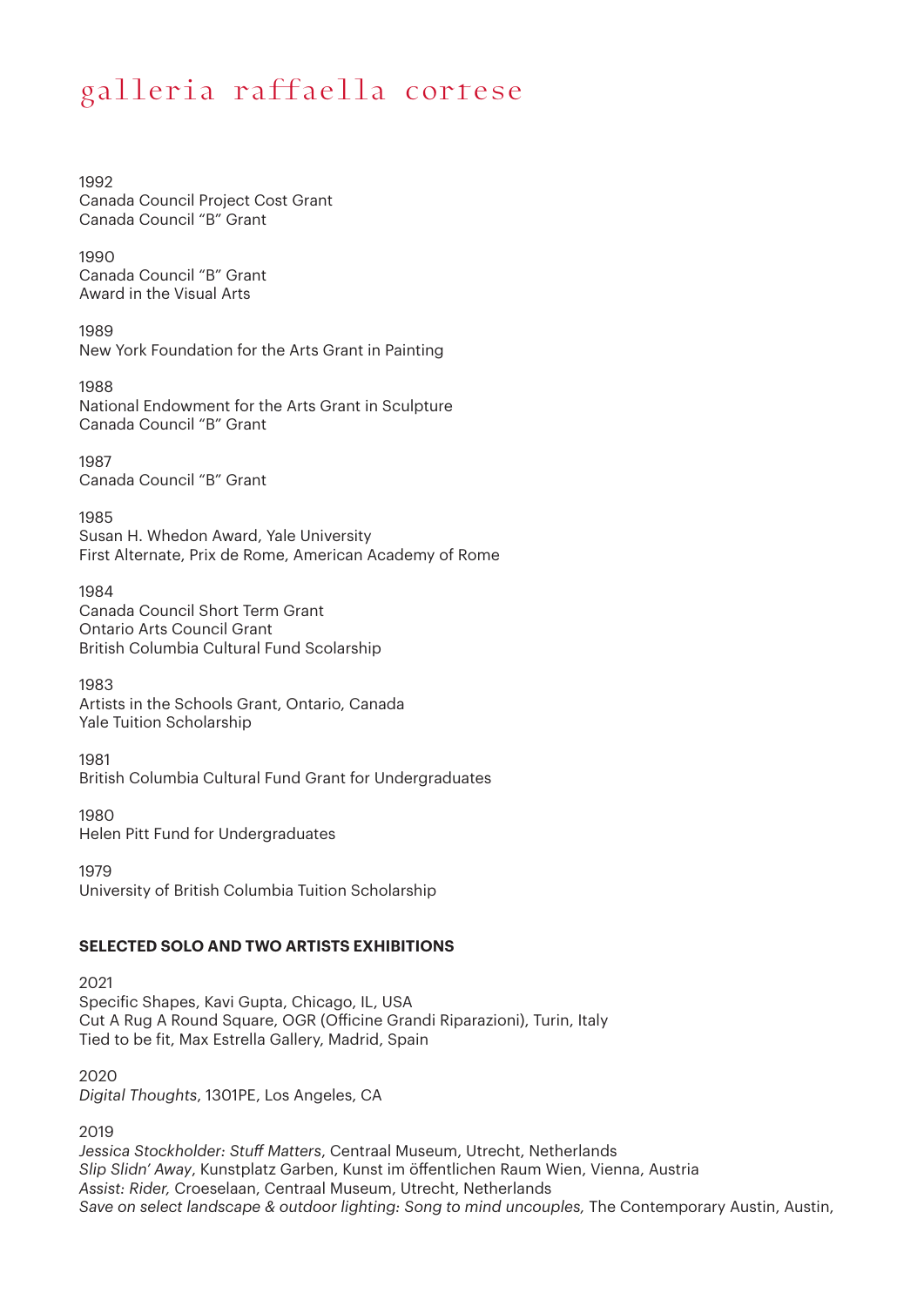1992 Canada Council Project Cost Grant Canada Council "B" Grant

1990 Canada Council "B" Grant Award in the Visual Arts

1989 New York Foundation for the Arts Grant in Painting

1988 National Endowment for the Arts Grant in Sculpture Canada Council "B" Grant

1987 Canada Council "B" Grant

1985 Susan H. Whedon Award, Yale University First Alternate, Prix de Rome, American Academy of Rome

1984 Canada Council Short Term Grant Ontario Arts Council Grant British Columbia Cultural Fund Scolarship

1983 Artists in the Schools Grant, Ontario, Canada Yale Tuition Scholarship

1981 British Columbia Cultural Fund Grant for Undergraduates

1980 Helen Pitt Fund for Undergraduates

1979 University of British Columbia Tuition Scholarship

## **SELECTED SOLO AND TWO ARTISTS EXHIBITIONS**

2021 Specific Shapes, Kavi Gupta, Chicago, IL, USA Cut A Rug A Round Square, OGR (Officine Grandi Riparazioni), Turin, Italy Tied to be fit, Max Estrella Gallery, Madrid, Spain

2020 *Digital Thoughts*, 1301PE, Los Angeles, CA

2019

*Jessica Stockholder: Stuff Matters*, Centraal Museum, Utrecht, Netherlands *Slip Slidn' Away*, Kunstplatz Garben, Kunst im öffentlichen Raum Wien, Vienna, Austria *Assist: Rider,* Croeselaan, Centraal Museum, Utrecht, Netherlands *Save on select landscape & outdoor lighting: Song to mind uncouples,* The Contemporary Austin, Austin,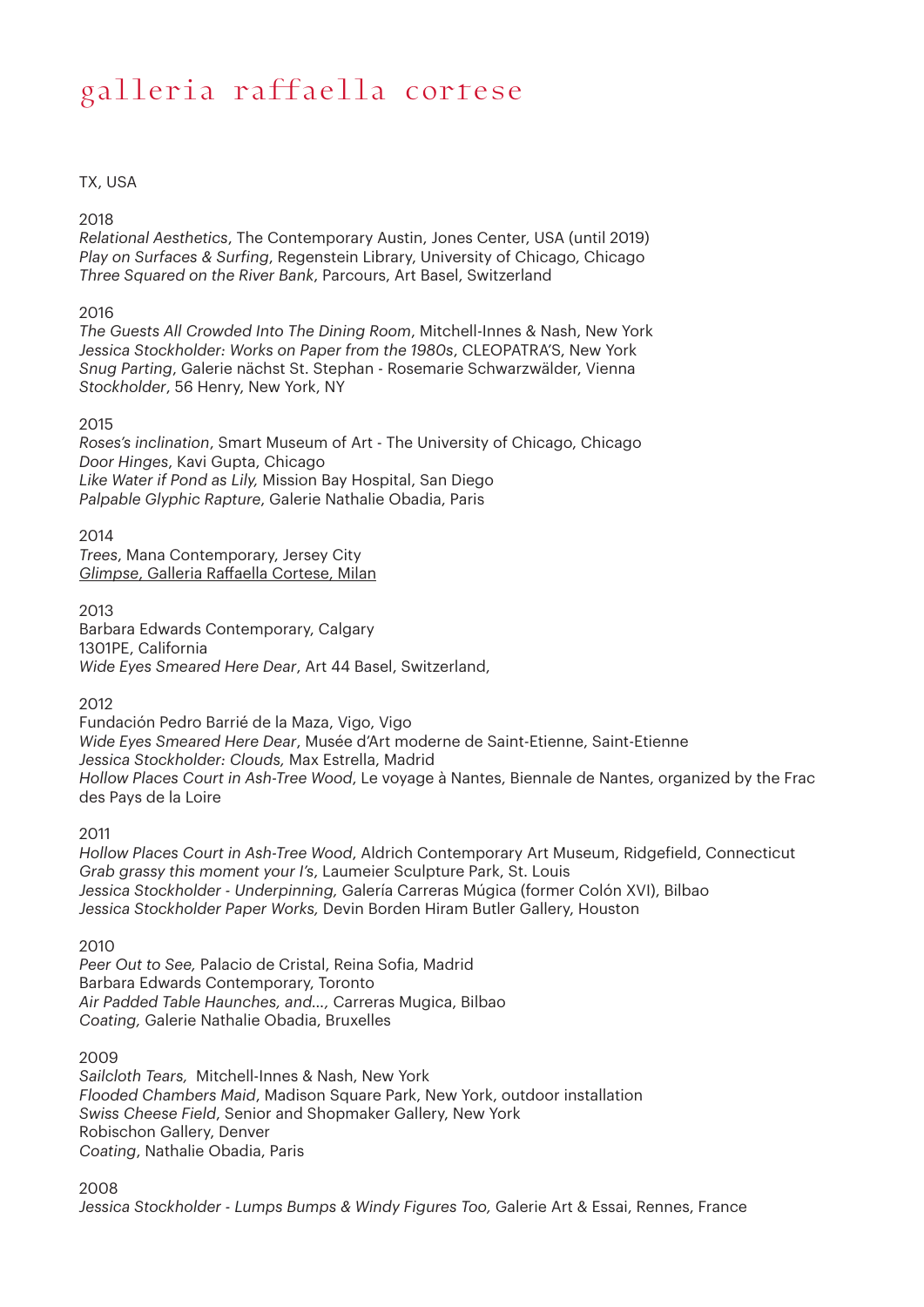### TX, USA

## 2018

*Relational Aesthetics*, The Contemporary Austin, Jones Center, USA (until 2019) *Play on Surfaces & Surfing*, Regenstein Library, University of Chicago, Chicago *Three Squared on the River Bank*, Parcours, Art Basel, Switzerland

#### 2016

*The Guests All Crowded Into The Dining Room*, Mitchell-Innes & Nash, New York *Jessica Stockholder: Works on Paper from the 1980s*, CLEOPATRA'S, New York *Snug Parting*, Galerie nächst St. Stephan - Rosemarie Schwarzwälder, Vienna *Stockholder*, 56 Henry, New York, NY

#### 2015

*Roses's inclination*, Smart Museum of Art - The University of Chicago, Chicago *Door Hinges*, Kavi Gupta, Chicago *Like Water if Pond as Lily,* Mission Bay Hospital, San Diego *Palpable Glyphic Rapture*, Galerie Nathalie Obadia, Paris

2014 *Trees*, Mana Contemporary, Jersey City *Glimpse*, Galleria Raffaella Cortese, Milan

2013

Barbara Edwards Contemporary, Calgary 1301PE, California *Wide Eyes Smeared Here Dear*, Art 44 Basel, Switzerland,

2012

Fundación Pedro Barrié de la Maza, Vigo, Vigo *Wide Eyes Smeared Here Dear*, Musée d'Art moderne de Saint-Etienne, Saint-Etienne *Jessica Stockholder: Clouds,* Max Estrella, Madrid *Hollow Places Court in Ash-Tree Wood*, Le voyage à Nantes, Biennale de Nantes, organized by the Frac des Pays de la Loire

2011

*Hollow Places Court in Ash-Tree Wood*, Aldrich Contemporary Art Museum, Ridgefield, Connecticut *Grab grassy this moment your I's*, Laumeier Sculpture Park, St. Louis *Jessica Stockholder - Underpinning,* Galería Carreras Múgica (former Colón XVI), Bilbao *Jessica Stockholder Paper Works,* Devin Borden Hiram Butler Gallery, Houston

2010

*Peer Out to See,* Palacio de Cristal, Reina Sofia, Madrid Barbara Edwards Contemporary, Toronto *Air Padded Table Haunches, and…,* Carreras Mugica, Bilbao *Coating,* Galerie Nathalie Obadia, Bruxelles

2009

*Sailcloth Tears,* Mitchell-Innes & Nash, New York *Flooded Chambers Maid*, Madison Square Park, New York, outdoor installation *Swiss Cheese Field*, Senior and Shopmaker Gallery, New York Robischon Gallery, Denver *Coating*, Nathalie Obadia, Paris

2008 *Jessica Stockholder - Lumps Bumps & Windy Figures Too,* Galerie Art & Essai, Rennes, France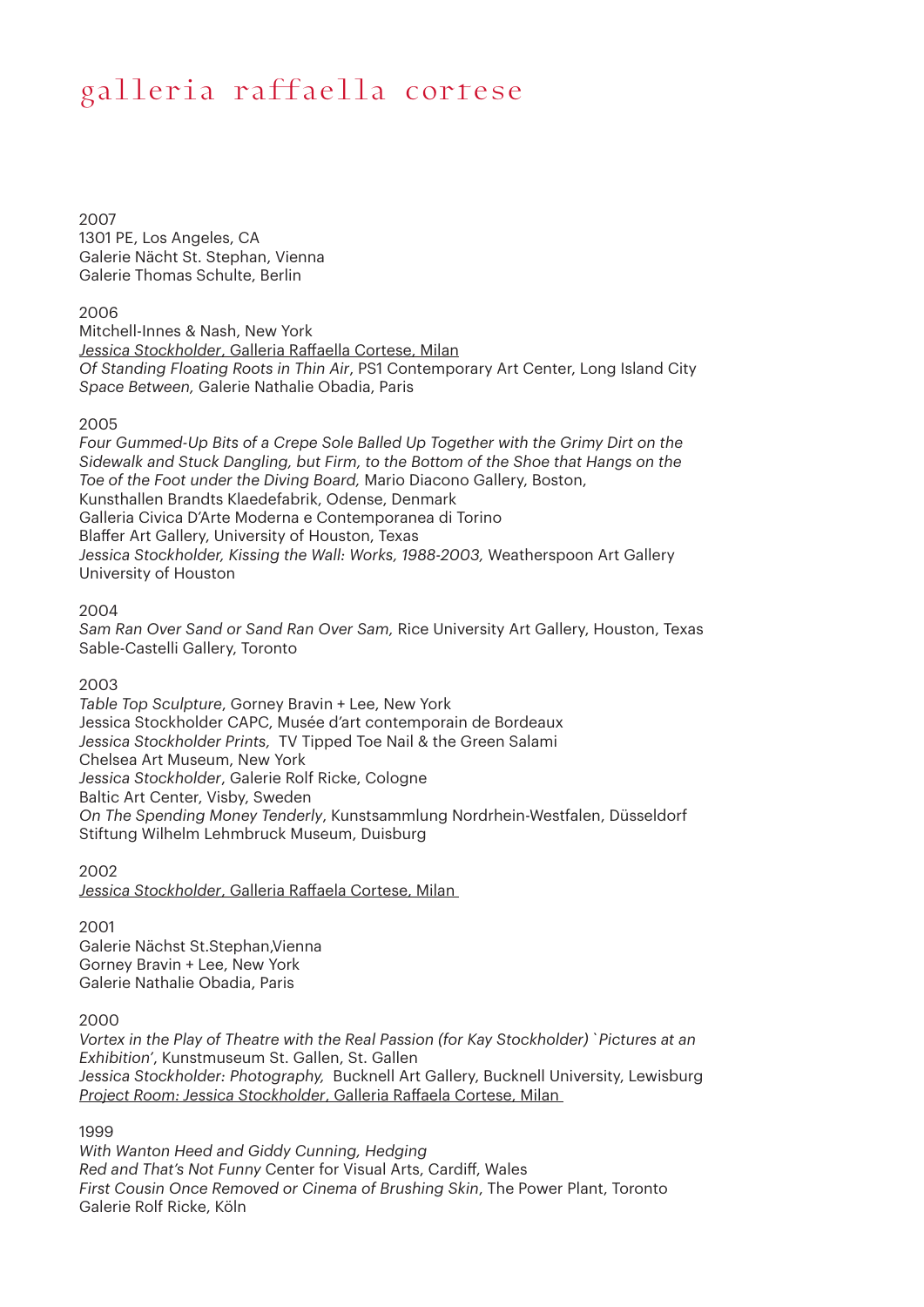2007

1301 PE, Los Angeles, CA Galerie Nächt St. Stephan, Vienna Galerie Thomas Schulte, Berlin

 $2006$ 

Mitchell-Innes & Nash, New York *Jessica Stockholder*, Galleria Raffaella Cortese, Milan *Of Standing Floating Roots in Thin Air*, PS1 Contemporary Art Center, Long Island City *Space Between,* Galerie Nathalie Obadia, Paris

2005

*Four Gummed-Up Bits of a Crepe Sole Balled Up Together with the Grimy Dirt on the Sidewalk and Stuck Dangling, but Firm, to the Bottom of the Shoe that Hangs on the Toe of the Foot under the Diving Board,* Mario Diacono Gallery, Boston, Kunsthallen Brandts Klaedefabrik, Odense, Denmark Galleria Civica D'Arte Moderna e Contemporanea di Torino Blaffer Art Gallery, University of Houston, Texas *Jessica Stockholder, Kissing the Wall: Works, 1988-2003,* Weatherspoon Art Gallery University of Houston

2004

*Sam Ran Over Sand or Sand Ran Over Sam,* Rice University Art Gallery, Houston, Texas Sable-Castelli Gallery, Toronto

2003

*Table Top Sculpture*, Gorney Bravin + Lee, New York Jessica Stockholder CAPC, Musée d'art contemporain de Bordeaux *Jessica Stockholder Prints,* TV Tipped Toe Nail & the Green Salami Chelsea Art Museum, New York *Jessica Stockholder*, Galerie Rolf Ricke, Cologne Baltic Art Center, Visby, Sweden *On The Spending Money Tenderly*, Kunstsammlung Nordrhein-Westfalen, Düsseldorf Stiftung Wilhelm Lehmbruck Museum, Duisburg

2002

*Jessica Stockholder*, Galleria Raffaela Cortese, Milan

2001

Galerie Nächst St.Stephan,Vienna Gorney Bravin + Lee, New York Galerie Nathalie Obadia, Paris

2000

*Vortex in the Play of Theatre with the Real Passion (for Kay Stockholder)* `*Pictures at an Exhibition'*, Kunstmuseum St. Gallen, St. Gallen *Jessica Stockholder: Photography,* Bucknell Art Gallery, Bucknell University, Lewisburg *Project Room: Jessica Stockholder*, Galleria Raffaela Cortese, Milan

1999

*With Wanton Heed and Giddy Cunning, Hedging Red and That's Not Funny* Center for Visual Arts, Cardiff, Wales *First Cousin Once Removed or Cinema of Brushing Skin*, The Power Plant, Toronto Galerie Rolf Ricke, Köln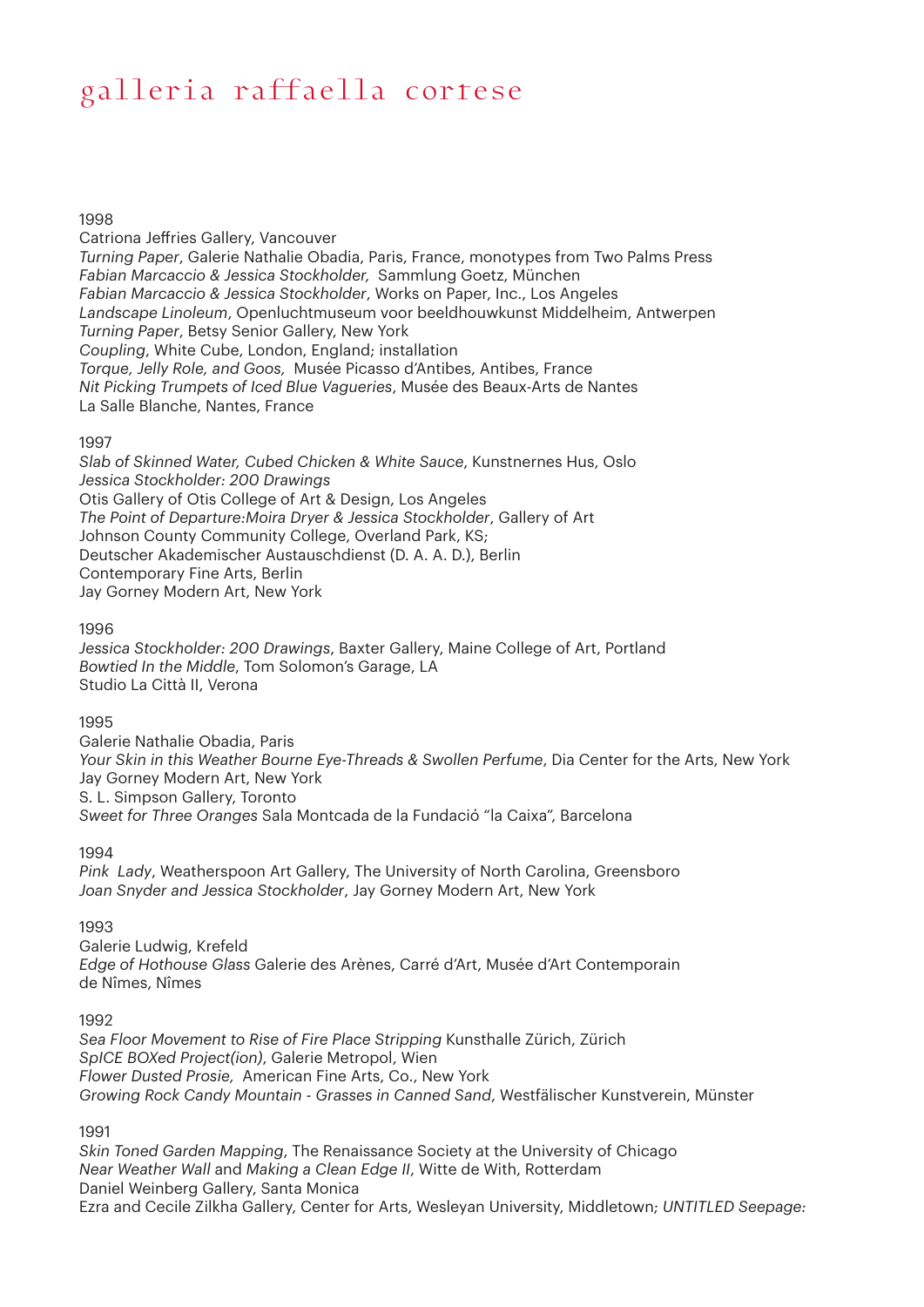## 1998

Catriona Jeffries Gallery, Vancouver *Turning Paper*, Galerie Nathalie Obadia, Paris, France, monotypes from Two Palms Press *Fabian Marcaccio & Jessica Stockholder,* Sammlung Goetz, München *Fabian Marcaccio & Jessica Stockholder*, Works on Paper, Inc., Los Angeles *Landscape Linoleum*, Openluchtmuseum voor beeldhouwkunst Middelheim, Antwerpen *Turning Paper*, Betsy Senior Gallery, New York *Coupling*, White Cube, London, England; installation *Torque, Jelly Role, and Goos,* Musée Picasso d'Antibes, Antibes, France *Nit Picking Trumpets of Iced Blue Vagueries*, Musée des Beaux-Arts de Nantes La Salle Blanche, Nantes, France

### 1997

*Slab of Skinned Water, Cubed Chicken & White Sauce*, Kunstnernes Hus, Oslo *Jessica Stockholder: 200 Drawings* Otis Gallery of Otis College of Art & Design, Los Angeles *The Point of Departure:Moira Dryer & Jessica Stockholder*, Gallery of Art Johnson County Community College, Overland Park, KS; Deutscher Akademischer Austauschdienst (D. A. A. D.), Berlin Contemporary Fine Arts, Berlin Jay Gorney Modern Art, New York

1996

*Jessica Stockholder: 200 Drawings*, Baxter Gallery, Maine College of Art, Portland *Bowtied In the Middle*, Tom Solomon's Garage, LA Studio La Città II, Verona

#### 1995

Galerie Nathalie Obadia, Paris *Your Skin in this Weather Bourne Eye-Threads & Swollen Perfume*, Dia Center for the Arts, New York Jay Gorney Modern Art, New York S. L. Simpson Gallery, Toronto *Sweet for Three Oranges* Sala Montcada de la Fundació "la Caixa", Barcelona

1994

*Pink Lady*, Weatherspoon Art Gallery, The University of North Carolina, Greensboro *Joan Snyder and Jessica Stockholder*, Jay Gorney Modern Art, New York

#### 1993

Galerie Ludwig, Krefeld *Edge of Hothouse Glass* Galerie des Arènes, Carré d'Art, Musée d'Art Contemporain de Nîmes, Nîmes

#### 1992

*Sea Floor Movement to Rise of Fire Place Stripping* Kunsthalle Zürich, Zürich *SpICE BOXed Project(ion)*, Galerie Metropol, Wien *Flower Dusted Prosie,* American Fine Arts, Co., New York *Growing Rock Candy Mountain - Grasses in Canned Sand*, Westfälischer Kunstverein, Münster

1991

*Skin Toned Garden Mapping*, The Renaissance Society at the University of Chicago *Near Weather Wall* and *Making a Clean Edge II*, Witte de With, Rotterdam Daniel Weinberg Gallery, Santa Monica Ezra and Cecile Zilkha Gallery, Center for Arts, Wesleyan University, Middletown; *UNTITLED Seepage:*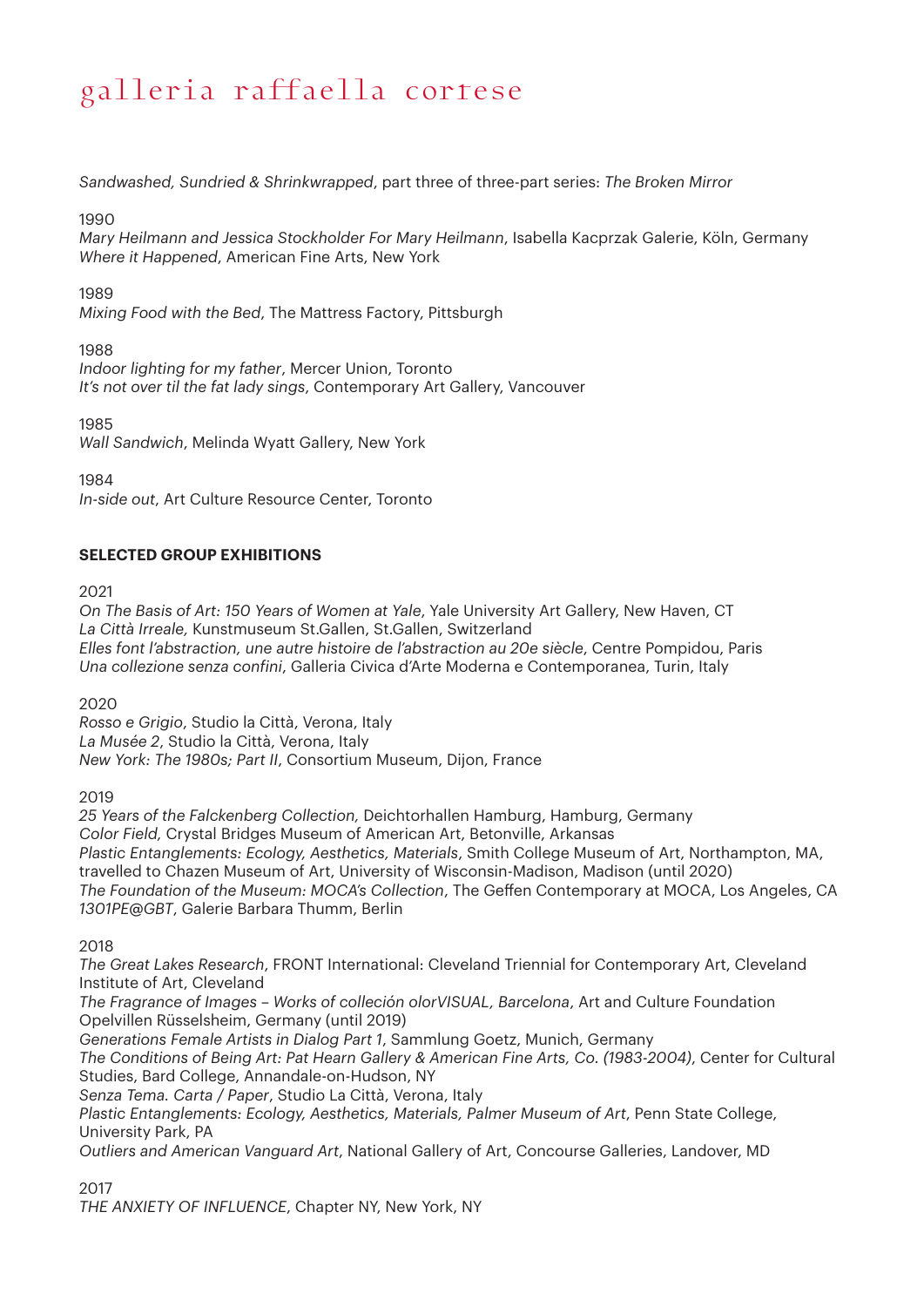*Sandwashed, Sundried & Shrinkwrapped*, part three of three-part series: *The Broken Mirror*

### 1990

*Mary Heilmann and Jessica Stockholder For Mary Heilmann*, Isabella Kacprzak Galerie, Köln, Germany *Where it Happened*, American Fine Arts, New York

#### 1989

*Mixing Food with the Bed*, The Mattress Factory, Pittsburgh

### 1988

*Indoor lighting for my father*, Mercer Union, Toronto *It's not over til the fat lady sings*, Contemporary Art Gallery, Vancouver

1985

*Wall Sandwich*, Melinda Wyatt Gallery, New York

1984

*In-side out*, Art Culture Resource Center, Toronto

## **SELECTED GROUP EXHIBITIONS**

2021

*On The Basis of Art: 150 Years of Women at Yale*, Yale University Art Gallery, New Haven, CT *La Città Irreale,* Kunstmuseum St.Gallen, St.Gallen, Switzerland *Elles font l'abstraction, une autre histoire de l'abstraction au 20e siècle*, Centre Pompidou, Paris *Una collezione senza confini*, Galleria Civica d'Arte Moderna e Contemporanea, Turin, Italy

2020

*Rosso e Grigio*, Studio la Città, Verona, Italy *La Musée 2*, Studio la Città, Verona, Italy *New York: The 1980s; Part II*, Consortium Museum, Dijon, France

2019

*25 Years of the Falckenberg Collection,* Deichtorhallen Hamburg, Hamburg, Germany *Color Field,* Crystal Bridges Museum of American Art, Betonville, Arkansas *Plastic Entanglements: Ecology, Aesthetics, Materials*, Smith College Museum of Art, Northampton, MA, travelled to Chazen Museum of Art, University of Wisconsin-Madison, Madison (until 2020) *The Foundation of the Museum: MOCA's Collection*, The Geffen Contemporary at MOCA, Los Angeles, CA *1301PE@GBT*, Galerie Barbara Thumm, Berlin

2018

*The Great Lakes Research*, FRONT International: Cleveland Triennial for Contemporary Art, Cleveland Institute of Art, Cleveland

*The Fragrance of Images – Works of colleción olorVISUAL, Barcelona*, Art and Culture Foundation Opelvillen Rüsselsheim, Germany (until 2019)

*Generations Female Artists in Dialog Part 1*, Sammlung Goetz, Munich, Germany

*The Conditions of Being Art: Pat Hearn Gallery & American Fine Arts, Co. (1983-2004)*, Center for Cultural Studies, Bard College, Annandale-on-Hudson, NY

*Senza Tema. Carta / Paper*, Studio La Città, Verona, Italy

*Plastic Entanglements: Ecology, Aesthetics, Materials, Palmer Museum of Art*, Penn State College, University Park, PA

*Outliers and American Vanguard Art*, National Gallery of Art, Concourse Galleries, Landover, MD

2017

*THE ANXIETY OF INFLUENCE*, Chapter NY, New York, NY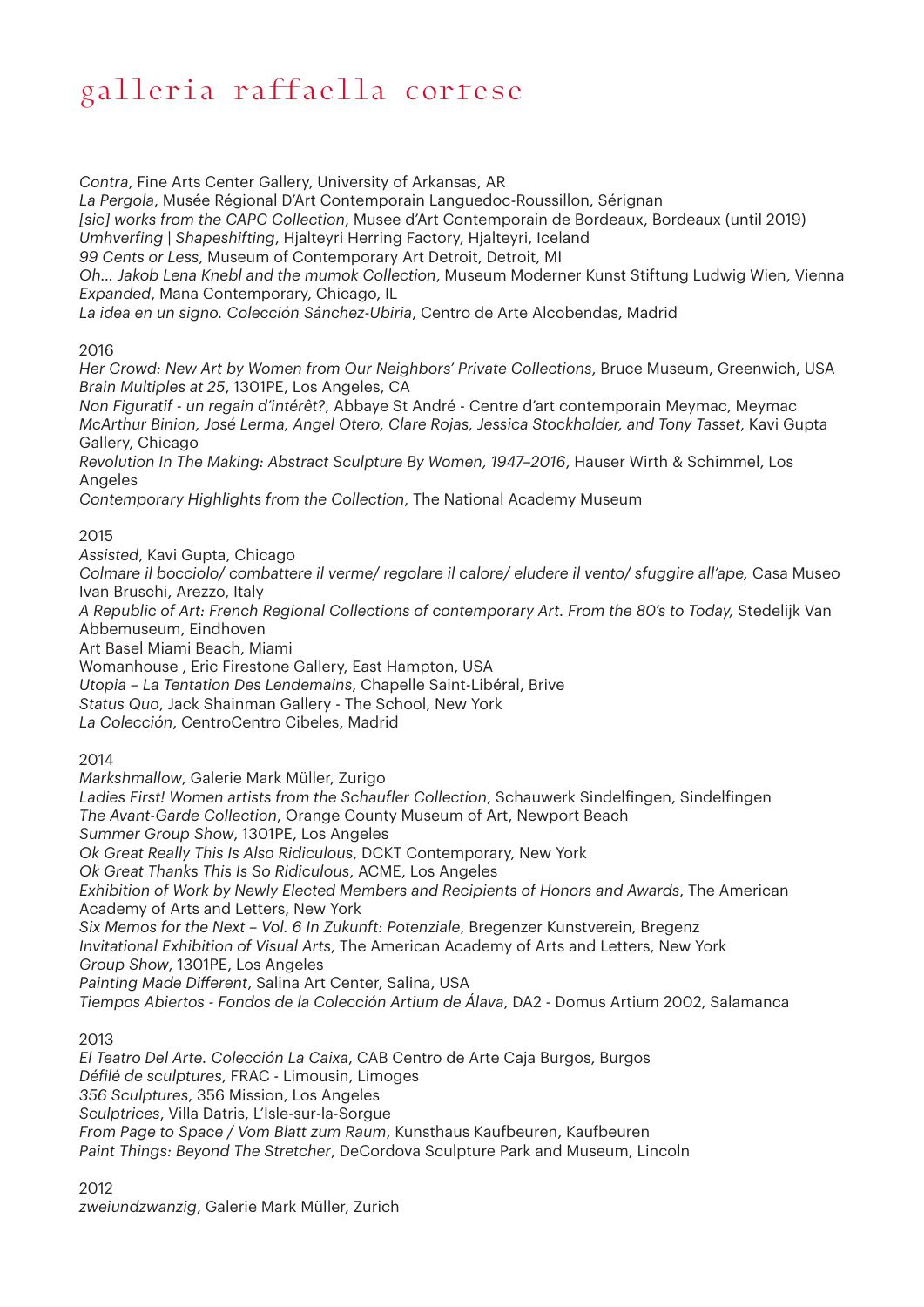*Contra*, Fine Arts Center Gallery, University of Arkansas, AR

*La Pergola*, Musée Régional D'Art Contemporain Languedoc-Roussillon, Sérignan

*[sic] works from the CAPC Collection*, Musee d'Art Contemporain de Bordeaux, Bordeaux (until 2019)

*Umhverfing | Shapeshifting*, Hjalteyri Herring Factory, Hjalteyri, Iceland

*99 Cents or Less*, Museum of Contemporary Art Detroit, Detroit, MI

*Oh… Jakob Lena Knebl and the mumok Collection*, Museum Moderner Kunst Stiftung Ludwig Wien, Vienna *Expanded*, Mana Contemporary, Chicago, IL

*La idea en un signo. Colección Sánchez-Ubiria*, Centro de Arte Alcobendas, Madrid

## 2016

*Her Crowd: New Art by Women from Our Neighbors' Private Collections*, Bruce Museum, Greenwich, USA *Brain Multiples at 25*, 1301PE, Los Angeles, CA

*Non Figuratif - un regain d'intérêt?*, Abbaye St André - Centre d'art contemporain Meymac, Meymac *McArthur Binion, José Lerma, Angel Otero, Clare Rojas, Jessica Stockholder, and Tony Tasset*, Kavi Gupta Gallery, Chicago

*Revolution In The Making: Abstract Sculpture By Women, 1947–2016*, Hauser Wirth & Schimmel, Los Angeles

*Contemporary Highlights from the Collection*, The National Academy Museum

## 2015

*Assisted*, Kavi Gupta, Chicago *Colmare il bocciolo/ combattere il verme/ regolare il calore/ eludere il vento/ sfuggire all'ape,* Casa Museo Ivan Bruschi, Arezzo, Italy A Republic of Art: French Regional Collections of contemporary Art. From the 80's to Today, Stedelijk Van Abbemuseum, Eindhoven Art Basel Miami Beach, Miami Womanhouse , Eric Firestone Gallery, East Hampton, USA *Utopia – La Tentation Des Lendemains*, Chapelle Saint-Libéral, Brive *Status Quo*, Jack Shainman Gallery - The School, New York *La Colección*, CentroCentro Cibeles, Madrid

## 2014

*Markshmallow*, Galerie Mark Müller, Zurigo *Ladies First! Women artists from the Schaufler Collection*, Schauwerk Sindelfingen, Sindelfingen *The Avant-Garde Collection*, Orange County Museum of Art, Newport Beach *Summer Group Show*, 1301PE, Los Angeles *Ok Great Really This Is Also Ridiculous*, DCKT Contemporary, New York *Ok Great Thanks This Is So Ridiculous*, ACME, Los Angeles *Exhibition of Work by Newly Elected Members and Recipients of Honors and Awards*, The American Academy of Arts and Letters, New York *Six Memos for the Next – Vol. 6 In Zukunft: Potenziale*, Bregenzer Kunstverein, Bregenz *Invitational Exhibition of Visual Arts*, The American Academy of Arts and Letters, New York *Group Show*, 1301PE, Los Angeles *Painting Made Different*, Salina Art Center, Salina, USA *Tiempos Abiertos - Fondos de la Colección Artium de Álava*, DA2 - Domus Artium 2002, Salamanca

2013

*El Teatro Del Arte. Colección La Caixa*, CAB Centro de Arte Caja Burgos, Burgos *Défilé de sculptures*, FRAC - Limousin, Limoges *356 Sculptures*, 356 Mission, Los Angeles *Sculptrices*, Villa Datris, L'Isle-sur-la-Sorgue *From Page to Space / Vom Blatt zum Raum*, Kunsthaus Kaufbeuren, Kaufbeuren *Paint Things: Beyond The Stretcher*, DeCordova Sculpture Park and Museum, Lincoln

2012

*zweiundzwanzig*, Galerie Mark Müller, Zurich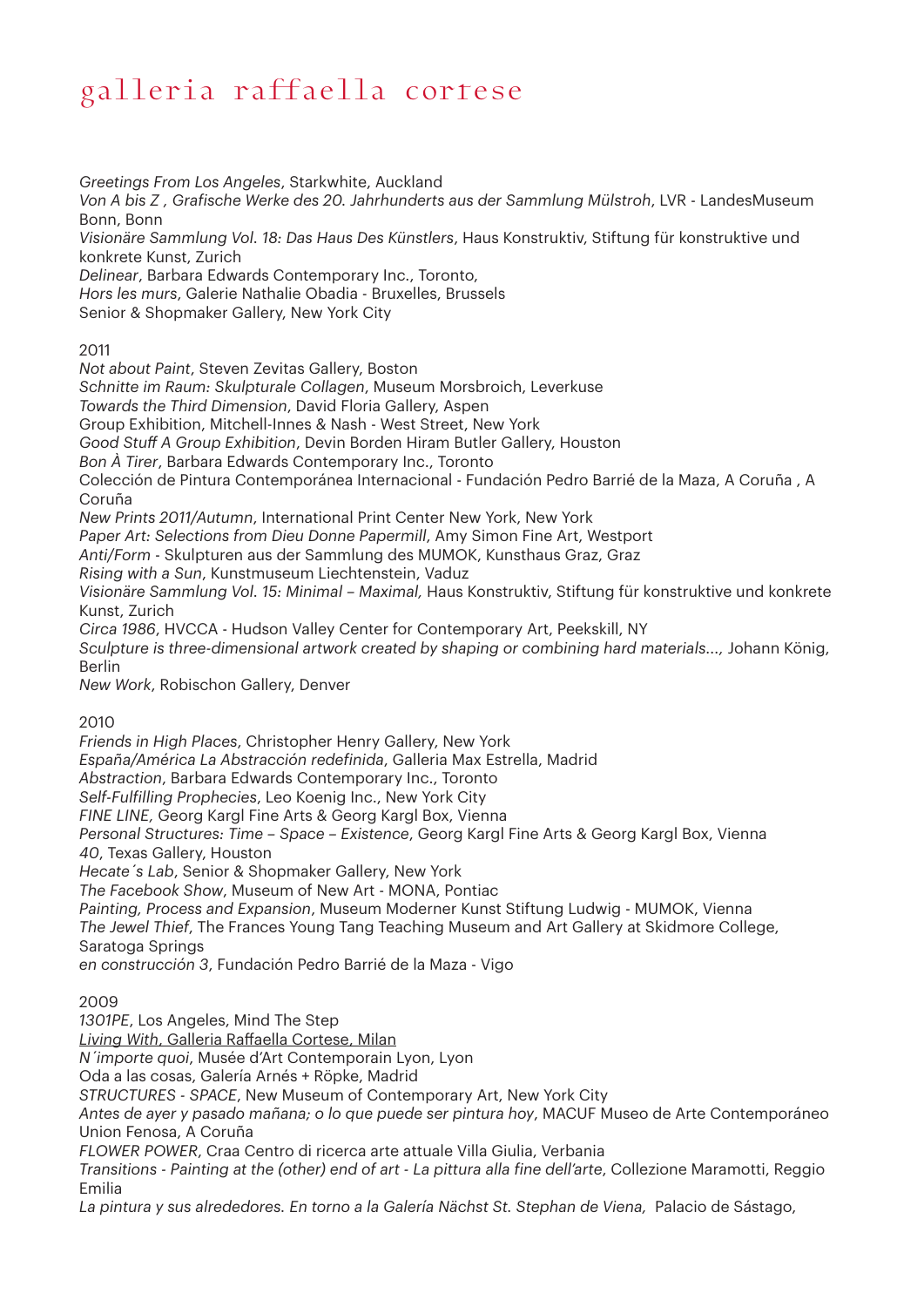*Greetings From Los Angeles*, Starkwhite, Auckland

*Von A bis Z , Grafische Werke des 20. Jahrhunderts aus der Sammlung Mülstroh*, LVR - LandesMuseum Bonn, Bonn

*Visionäre Sammlung Vol. 18: Das Haus Des Künstlers*, Haus Konstruktiv, Stiftung für konstruktive und konkrete Kunst, Zurich

*Delinear*, Barbara Edwards Contemporary Inc., Toronto,

*Hors les murs*, Galerie Nathalie Obadia - Bruxelles, Brussels

Senior & Shopmaker Gallery, New York City

2011

*Not about Paint*, Steven Zevitas Gallery, Boston *Schnitte im Raum: Skulpturale Collagen*, Museum Morsbroich, Leverkuse *Towards the Third Dimension*, David Floria Gallery, Aspen Group Exhibition, Mitchell-Innes & Nash - West Street, New York *Good Stuff A Group Exhibition*, Devin Borden Hiram Butler Gallery, Houston *Bon À Tirer*, Barbara Edwards Contemporary Inc., Toronto Colección de Pintura Contemporánea Internacional - Fundación Pedro Barrié de la Maza, A Coruña , A Coruña *New Prints 2011/Autumn*, International Print Center New York, New York *Paper Art: Selections from Dieu Donne Papermill*, Amy Simon Fine Art, Westport *Anti/Form* - Skulpturen aus der Sammlung des MUMOK, Kunsthaus Graz, Graz *Rising with a Sun*, Kunstmuseum Liechtenstein, Vaduz *Visionäre Sammlung Vol. 15: Minimal – Maximal,* Haus Konstruktiv, Stiftung für konstruktive und konkrete Kunst, Zurich *Circa 1986*, HVCCA - Hudson Valley Center for Contemporary Art, Peekskill, NY

*Sculpture is three-dimensional artwork created by shaping or combining hard materials...,* Johann König, Berlin

*New Work*, Robischon Gallery, Denver

2010

*Friends in High Places*, Christopher Henry Gallery, New York

*España/América La Abstracción redefinida*, Galleria Max Estrella, Madrid

*Abstraction*, Barbara Edwards Contemporary Inc., Toronto

*Self-Fulfilling Prophecies*, Leo Koenig Inc., New York City

*FINE LINE,* Georg Kargl Fine Arts & Georg Kargl Box, Vienna

*Personal Structures: Time – Space – Existence*, Georg Kargl Fine Arts & Georg Kargl Box, Vienna *40*, Texas Gallery, Houston

*Hecate´s Lab*, Senior & Shopmaker Gallery, New York

*The Facebook Show*, Museum of New Art - MONA, Pontiac

*Painting, Process and Expansion*, Museum Moderner Kunst Stiftung Ludwig - MUMOK, Vienna

*The Jewel Thief*, The Frances Young Tang Teaching Museum and Art Gallery at Skidmore College, Saratoga Springs

*en construcción 3*, Fundación Pedro Barrié de la Maza - Vigo

2009

*1301PE*, Los Angeles, Mind The Step

*Living With*, Galleria Raffaella Cortese, Milan

*N´importe quoi*, Musée d'Art Contemporain Lyon, Lyon

Oda a las cosas, Galería Arnés + Röpke, Madrid

*STRUCTURES - SPACE*, New Museum of Contemporary Art, New York City

*Antes de ayer y pasado mañana; o lo que puede ser pintura hoy*, MACUF Museo de Arte Contemporáneo Union Fenosa, A Coruña

*FLOWER POWER*, Craa Centro di ricerca arte attuale Villa Giulia, Verbania

*Transitions - Painting at the (other) end of art - La pittura alla fine dell'arte*, Collezione Maramotti, Reggio Emilia

La pintura y sus alrededores. En torno a la Galería Nächst St. Stephan de Viena, Palacio de Sástago,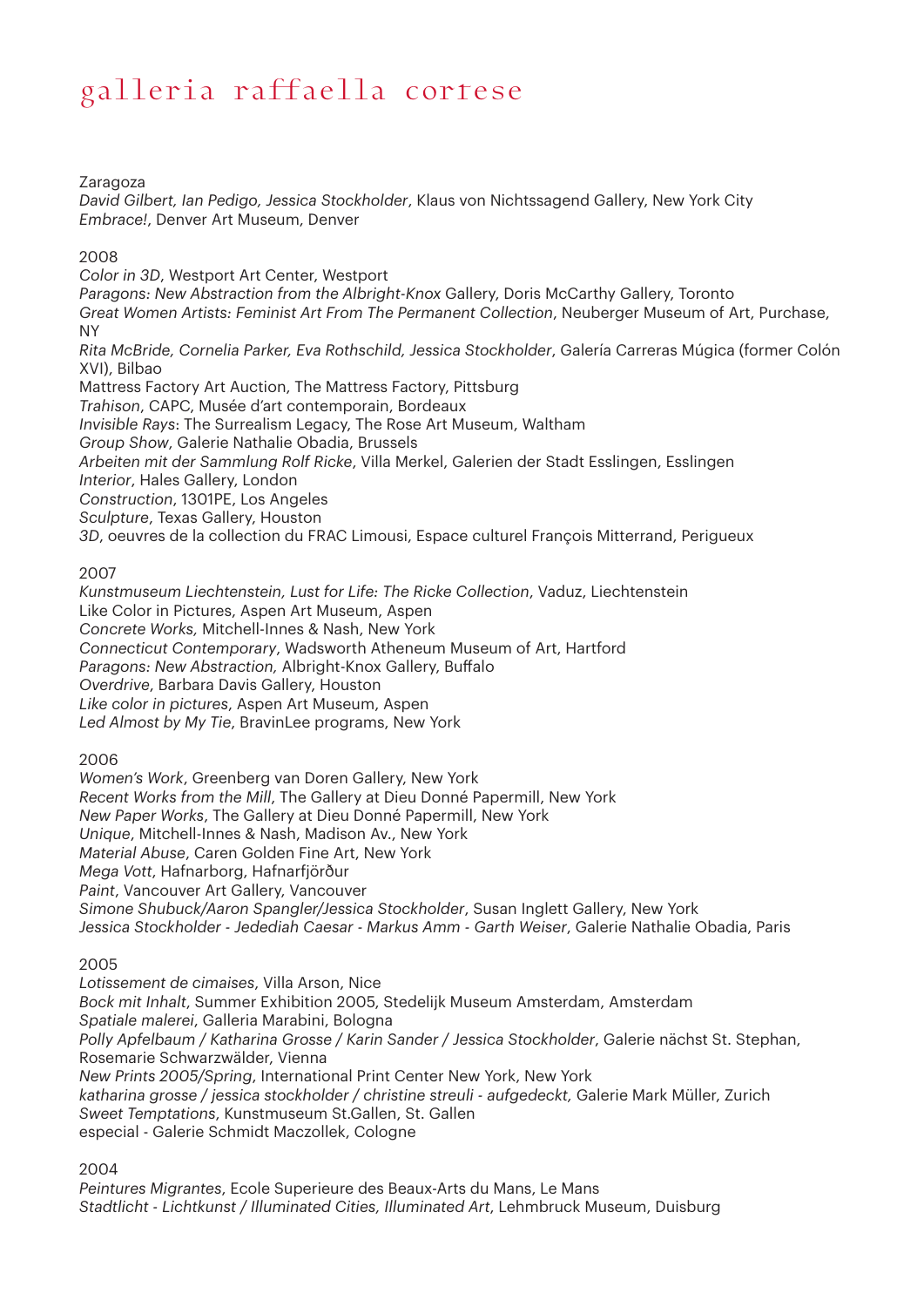Zaragoza

*David Gilbert, Ian Pedigo, Jessica Stockholder*, Klaus von Nichtssagend Gallery, New York City *Embrace!*, Denver Art Museum, Denver

## 2008

*Color in 3D*, Westport Art Center, Westport *Paragons: New Abstraction from the Albright-Knox* Gallery, Doris McCarthy Gallery, Toronto *Great Women Artists: Feminist Art From The Permanent Collection*, Neuberger Museum of Art, Purchase, NY *Rita McBride, Cornelia Parker, Eva Rothschild, Jessica Stockholder*, Galería Carreras Múgica (former Colón XVI), Bilbao Mattress Factory Art Auction, The Mattress Factory, Pittsburg *Trahison*, CAPC, Musée d'art contemporain, Bordeaux

*Invisible Rays*: The Surrealism Legacy, The Rose Art Museum, Waltham *Group Show*, Galerie Nathalie Obadia, Brussels *Arbeiten mit der Sammlung Rolf Ricke*, Villa Merkel, Galerien der Stadt Esslingen, Esslingen *Interior*, Hales Gallery, London *Construction*, 1301PE, Los Angeles *Sculpture*, Texas Gallery, Houston *3D*, oeuvres de la collection du FRAC Limousi, Espace culturel François Mitterrand, Perigueux

### 2007

*Kunstmuseum Liechtenstein, Lust for Life: The Ricke Collection*, Vaduz, Liechtenstein Like Color in Pictures, Aspen Art Museum, Aspen *Concrete Works,* Mitchell-Innes & Nash, New York *Connecticut Contemporary*, Wadsworth Atheneum Museum of Art, Hartford *Paragons: New Abstraction,* Albright-Knox Gallery, Buffalo *Overdrive*, Barbara Davis Gallery, Houston *Like color in pictures*, Aspen Art Museum, Aspen *Led Almost by My Tie*, BravinLee programs, New York

2006

*Women's Work*, Greenberg van Doren Gallery, New York *Recent Works from the Mill*, The Gallery at Dieu Donné Papermill, New York *New Paper Works*, The Gallery at Dieu Donné Papermill, New York *Unique*, Mitchell-Innes & Nash, Madison Av., New York *Material Abuse*, Caren Golden Fine Art, New York *Mega Vott*, Hafnarborg, Hafnarfjörður *Paint*, Vancouver Art Gallery, Vancouver *Simone Shubuck/Aaron Spangler/Jessica Stockholder*, Susan Inglett Gallery, New York *Jessica Stockholder - Jedediah Caesar - Markus Amm - Garth Weiser*, Galerie Nathalie Obadia, Paris

## 2005

*Lotissement de cimaises*, Villa Arson, Nice *Bock mit Inhalt*, Summer Exhibition 2005, Stedelijk Museum Amsterdam, Amsterdam *Spatiale malerei*, Galleria Marabini, Bologna *Polly Apfelbaum / Katharina Grosse / Karin Sander / Jessica Stockholder*, Galerie nächst St. Stephan, Rosemarie Schwarzwälder, Vienna *New Prints 2005/Spring*, International Print Center New York, New York *katharina grosse / jessica stockholder / christine streuli - aufgedeckt,* Galerie Mark Müller, Zurich *Sweet Temptations*, Kunstmuseum St.Gallen, St. Gallen especial - Galerie Schmidt Maczollek, Cologne

## 2004

*Peintures Migrantes*, Ecole Superieure des Beaux-Arts du Mans, Le Mans *Stadtlicht - Lichtkunst / Illuminated Cities, Illuminated Art*, Lehmbruck Museum, Duisburg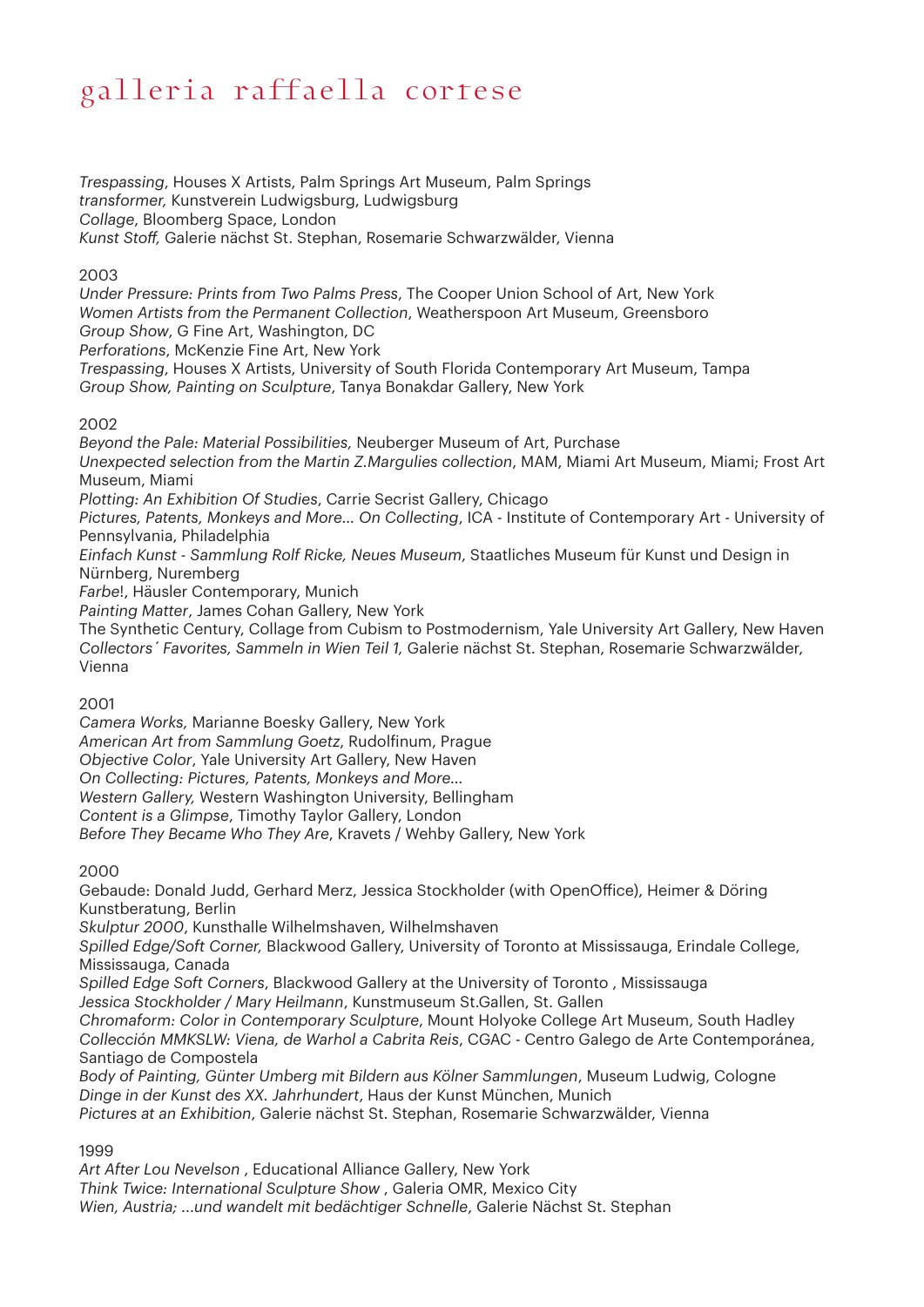*Trespassing*, Houses X Artists, Palm Springs Art Museum, Palm Springs *transformer,* Kunstverein Ludwigsburg, Ludwigsburg *Collage*, Bloomberg Space, London *Kunst Stoff,* Galerie nächst St. Stephan, Rosemarie Schwarzwälder, Vienna

## 2003

*Under Pressure: Prints from Two Palms Press*, The Cooper Union School of Art, New York *Women Artists from the Permanent Collection*, Weatherspoon Art Museum, Greensboro *Group Show*, G Fine Art, Washington, DC

*Perforations*, McKenzie Fine Art, New York

*Trespassing*, Houses X Artists, University of South Florida Contemporary Art Museum, Tampa *Group Show, Painting on Sculpture*, Tanya Bonakdar Gallery, New York

## 2002

*Beyond the Pale: Material Possibilities,* Neuberger Museum of Art, Purchase *Unexpected selection from the Martin Z.Margulies collection*, MAM, Miami Art Museum, Miami; Frost Art Museum, Miami *Plotting: An Exhibition Of Studies*, Carrie Secrist Gallery, Chicago *Pictures, Patents, Monkeys and More… On Collecting*, ICA - Institute of Contemporary Art - University of Pennsylvania, Philadelphia

*Einfach Kunst - Sammlung Rolf Ricke, Neues Museum*, Staatliches Museum für Kunst und Design in Nürnberg, Nuremberg

*Farbe*!, Häusler Contemporary, Munich

*Painting Matter*, James Cohan Gallery, New York

The Synthetic Century, Collage from Cubism to Postmodernism, Yale University Art Gallery, New Haven *Collectors´ Favorites, Sammeln in Wien Teil 1,* Galerie nächst St. Stephan, Rosemarie Schwarzwälder, Vienna

2001

*Camera Works,* Marianne Boesky Gallery, New York *American Art from Sammlung Goetz*, Rudolfinum, Prague *Objective Color*, Yale University Art Gallery, New Haven *On Collecting: Pictures, Patents, Monkeys and More… Western Gallery,* Western Washington University, Bellingham *Content is a Glimpse*, Timothy Taylor Gallery, London *Before They Became Who They Are*, Kravets / Wehby Gallery, New York

## 2000

Gebaude: Donald Judd, Gerhard Merz, Jessica Stockholder (with OpenOffice), Heimer & Döring Kunstberatung, Berlin

*Skulptur 2000*, Kunsthalle Wilhelmshaven, Wilhelmshaven

*Spilled Edge/Soft Corner,* Blackwood Gallery, University of Toronto at Mississauga, Erindale College, Mississauga, Canada

*Spilled Edge Soft Corners*, Blackwood Gallery at the University of Toronto , Mississauga *Jessica Stockholder / Mary Heilmann*, Kunstmuseum St.Gallen, St. Gallen

*Chromaform: Color in Contemporary Sculpture*, Mount Holyoke College Art Museum, South Hadley *Collección MMKSLW: Viena, de Warhol a Cabrita Reis*, CGAC - Centro Galego de Arte Contemporánea, Santiago de Compostela

*Body of Painting, Günter Umberg mit Bildern aus Kölner Sammlungen*, Museum Ludwig, Cologne *Dinge in der Kunst des XX. Jahrhundert*, Haus der Kunst München, Munich

*Pictures at an Exhibition*, Galerie nächst St. Stephan, Rosemarie Schwarzwälder, Vienna

## 1999

*Art After Lou Nevelson* , Educational Alliance Gallery, New York *Think Twice: International Sculpture Show* , Galeria OMR, Mexico City *Wien, Austria; ...und wandelt mit bedächtiger Schnelle*, Galerie Nächst St. Stephan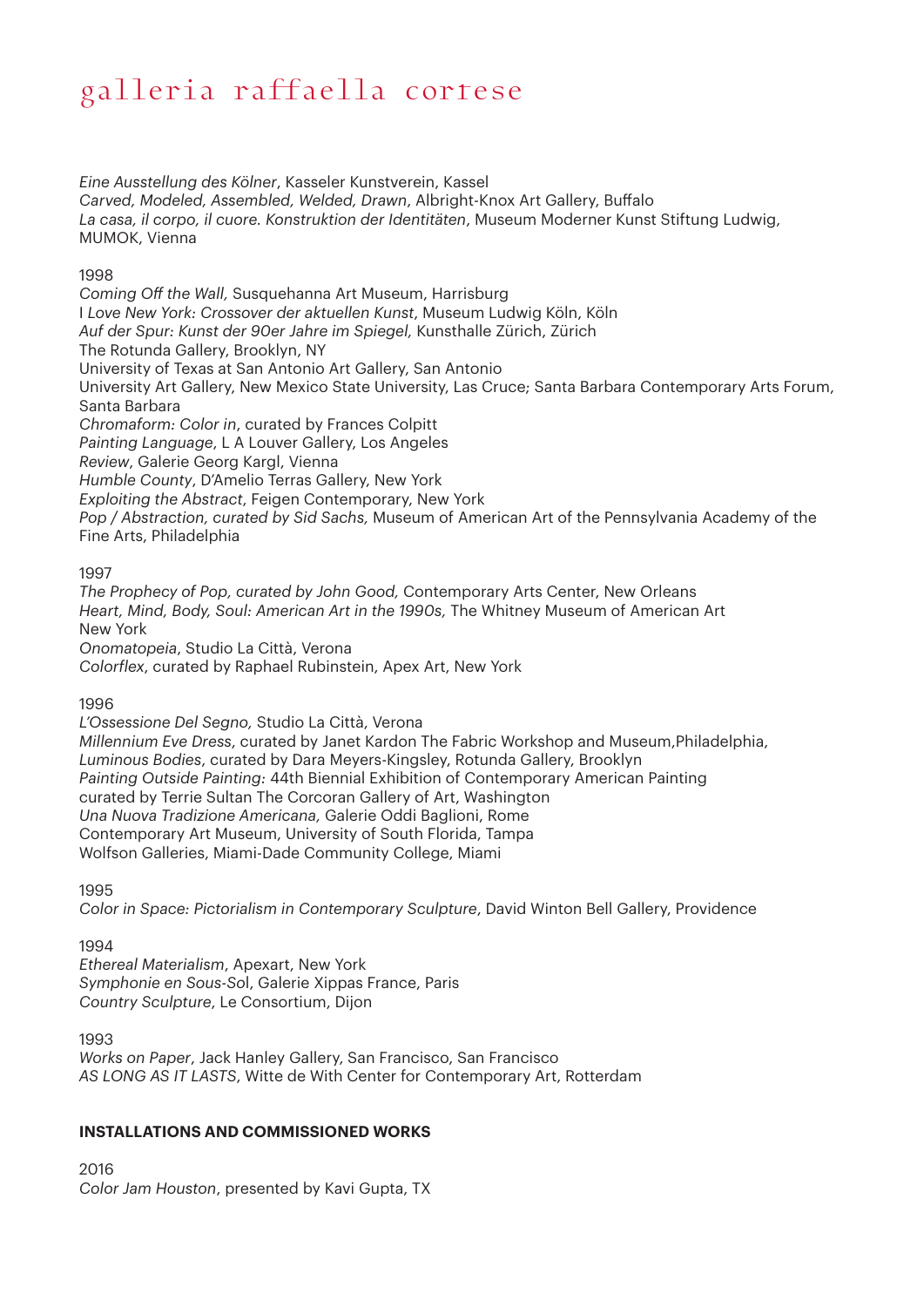*Eine Ausstellung des Kölner*, Kasseler Kunstverein, Kassel *Carved, Modeled, Assembled, Welded, Drawn*, Albright-Knox Art Gallery, Buffalo *La casa, il corpo, il cuore. Konstruktion der Identitäten*, Museum Moderner Kunst Stiftung Ludwig, MUMOK, Vienna

## 1998

*Coming Off the Wall,* Susquehanna Art Museum, Harrisburg I *Love New York: Crossover der aktuellen Kunst*, Museum Ludwig Köln, Köln *Auf der Spur: Kunst der 90er Jahre im Spiegel,* Kunsthalle Zürich, Zürich The Rotunda Gallery, Brooklyn, NY University of Texas at San Antonio Art Gallery, San Antonio University Art Gallery, New Mexico State University, Las Cruce; Santa Barbara Contemporary Arts Forum, Santa Barbara *Chromaform: Color in*, curated by Frances Colpitt *Painting Language*, L A Louver Gallery, Los Angeles *Review*, Galerie Georg Kargl, Vienna *Humble County*, D'Amelio Terras Gallery, New York *Exploiting the Abstract*, Feigen Contemporary, New York *Pop / Abstraction, curated by Sid Sachs,* Museum of American Art of the Pennsylvania Academy of the Fine Arts, Philadelphia

#### 1997

*The Prophecy of Pop, curated by John Good,* Contemporary Arts Center, New Orleans *Heart, Mind, Body, Soul: American Art in the 1990s,* The Whitney Museum of American Art New York *Onomatopeia*, Studio La Città, Verona *Colorflex*, curated by Raphael Rubinstein, Apex Art, New York

1996

*L'Ossessione Del Segno,* Studio La Città, Verona *Millennium Eve Dress*, curated by Janet Kardon The Fabric Workshop and Museum,Philadelphia, *Luminous Bodies*, curated by Dara Meyers-Kingsley, Rotunda Gallery, Brooklyn *Painting Outside Painting:* 44th Biennial Exhibition of Contemporary American Painting curated by Terrie Sultan The Corcoran Gallery of Art, Washington *Una Nuova Tradizione Americana,* Galerie Oddi Baglioni, Rome Contemporary Art Museum, University of South Florida, Tampa Wolfson Galleries, Miami-Dade Community College, Miami

1995

*Color in Space: Pictorialism in Contemporary Sculpture*, David Winton Bell Gallery, Providence

#### 1994

*Ethereal Materialism*, Apexart, New York *Symphonie en Sous-So*l, Galerie Xippas France, Paris *Country Sculpture*, Le Consortium, Dijon

1993

*Works on Paper*, Jack Hanley Gallery, San Francisco, San Francisco *AS LONG AS IT LASTS*, Witte de With Center for Contemporary Art, Rotterdam

## **INSTALLATIONS AND COMMISSIONED WORKS**

 $2016$ *Color Jam Houston*, presented by Kavi Gupta, TX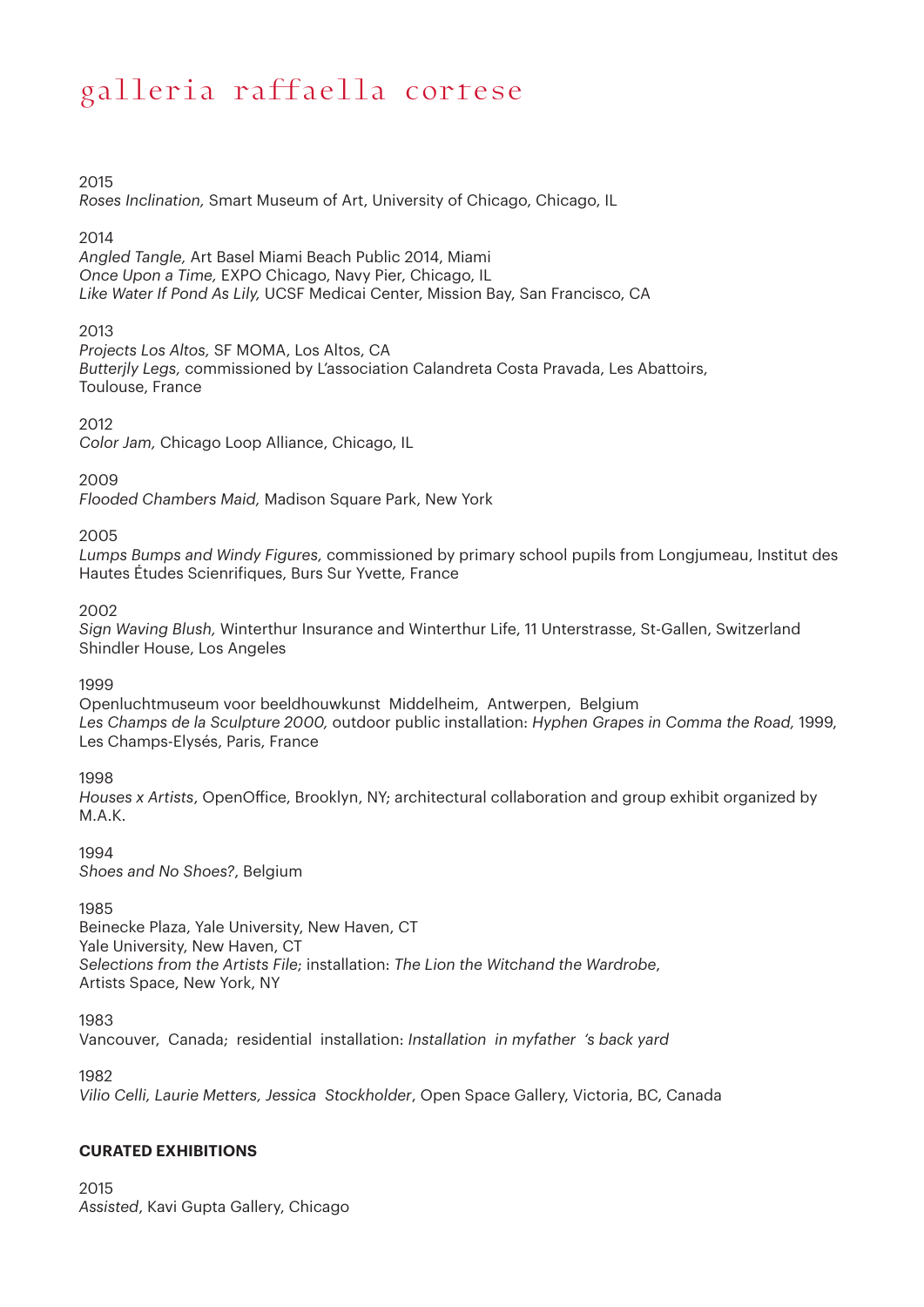### $2015$

*Roses Inclination,* Smart Museum of Art, University of Chicago, Chicago, IL

### 2014

*Angled Tangle,* Art Basel Miami Beach Public 2014, Miami *Once Upon a Time,* EXPO Chicago, Navy Pier, Chicago, IL *Like Water If Pond As Lily,* UCSF Medicai Center, Mission Bay, San Francisco, CA

### 2013

*Projects Los Altos,* SF MOMA, Los Altos, CA *Butterjly Legs,* commissioned by L'association Calandreta Costa Pravada, Les Abattoirs, Toulouse, France

### 2012

*Color Jam,* Chicago Loop Alliance, Chicago, IL

### 2009

*Flooded Chambers Maid,* Madison Square Park, New York

#### 2005

*Lumps Bumps and Windy Figures,* commissioned by primary school pupils from Longjumeau, Institut des Hautes Études Scienrifiques, Burs Sur Yvette, France

#### 2002

*Sign Waving Blush,* Winterthur Insurance and Winterthur Life, 11 Unterstrasse, St-Gallen, Switzerland Shindler House, Los Angeles

#### 1999

Openluchtmuseum voor beeldhouwkunst Middelheim, Antwerpen, Belgium *Les Champs de la Sculpture 2000,* outdoor public installation: *Hyphen Grapes in Comma the Road,* 1999, Les Champs-Elysés, Paris, France

#### 1998

*Houses x Artists*, OpenOffice, Brooklyn, NY; architectural collaboration and group exhibit organized by M.A.K.

1994 *Shoes and No Shoes?*, Belgium

#### 1985

Beinecke Plaza, Yale University, New Haven, CT Yale University, New Haven, CT *Selections from the Artists File*; installation: *The Lion the Witchand the Wardrobe*, Artists Space, New York, NY

1983

Vancouver, Canada; residential installation: *Installation in myfather 's back yard* 

1982

*Vilio Celli, Laurie Metters, Jessica Stockholder*, Open Space Gallery, Victoria, BC, Canada

## **CURATED EXHIBITIONS**

2015 *Assisted*, Kavi Gupta Gallery, Chicago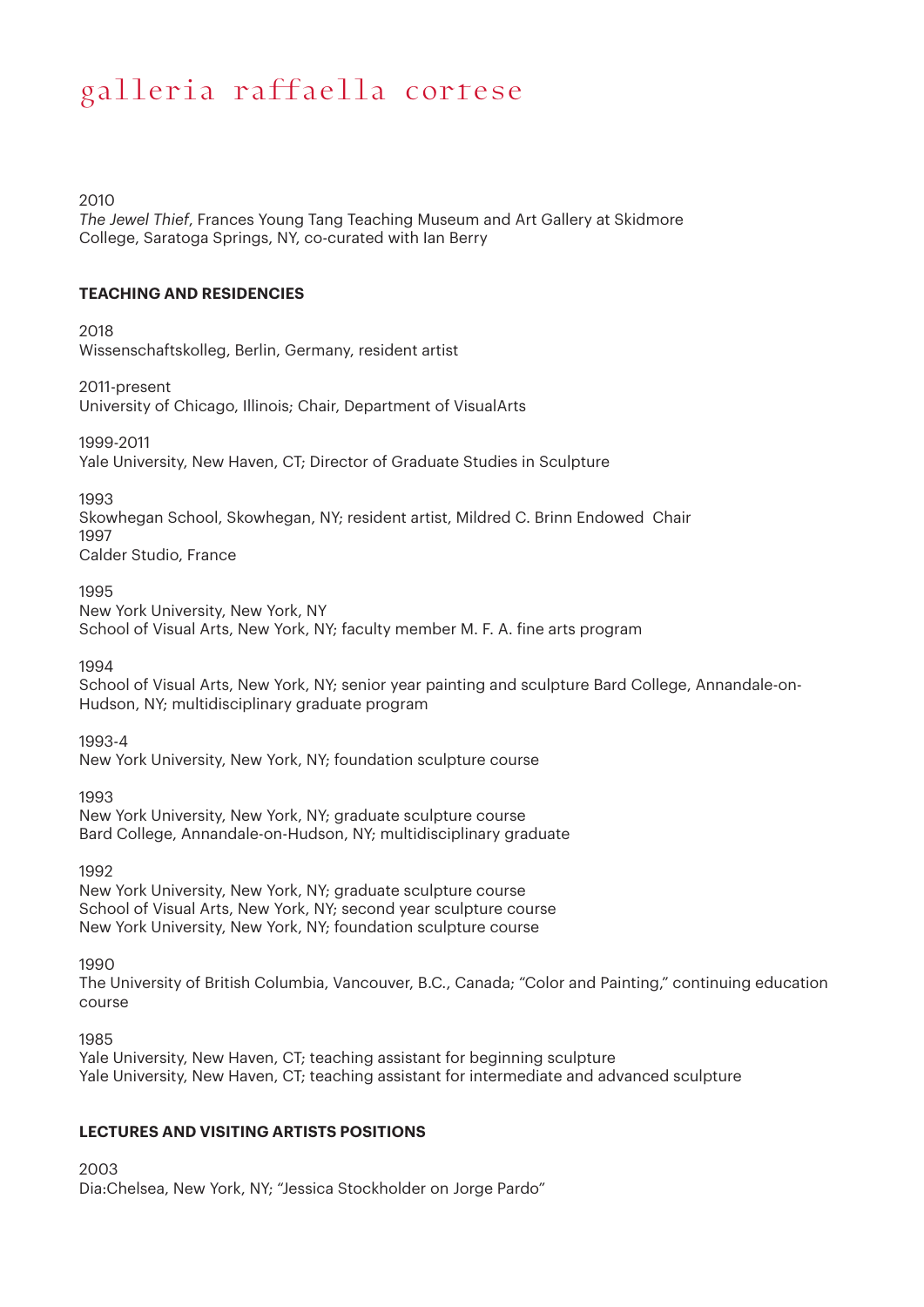2010

*The Jewel Thief*, Frances Young Tang Teaching Museum and Art Gallery at Skidmore College, Saratoga Springs, NY, co-curated with Ian Berry

### **TEACHING AND RESIDENCIES**

2018

Wissenschaftskolleg, Berlin, Germany, resident artist

2011-present

University of Chicago, Illinois; Chair, Department of VisualArts

1999-2011

Yale University, New Haven, CT; Director of Graduate Studies in Sculpture

1993

Skowhegan School, Skowhegan, NY; resident artist, Mildred C. Brinn Endowed Chair 1997

Calder Studio, France

1995

New York University, New York, NY School of Visual Arts, New York, NY; faculty member M. F. A. fine arts program

1994

School of Visual Arts, New York, NY; senior year painting and sculpture Bard College, Annandale-on-Hudson, NY; multidisciplinary graduate program

1993-4

New York University, New York, NY; foundation sculpture course

1993

New York University, New York, NY; graduate sculpture course Bard College, Annandale-on-Hudson, NY; multidisciplinary graduate

1992

New York University, New York, NY; graduate sculpture course School of Visual Arts, New York, NY; second year sculpture course New York University, New York, NY; foundation sculpture course

1990

The University of British Columbia, Vancouver, B.C., Canada; "Color and Painting," continuing education course

1985

Yale University, New Haven, CT; teaching assistant for beginning sculpture Yale University, New Haven, CT; teaching assistant for intermediate and advanced sculpture

#### **LECTURES AND VISITING ARTISTS POSITIONS**

2003 Dia:Chelsea, New York, NY; "Jessica Stockholder on Jorge Pardo"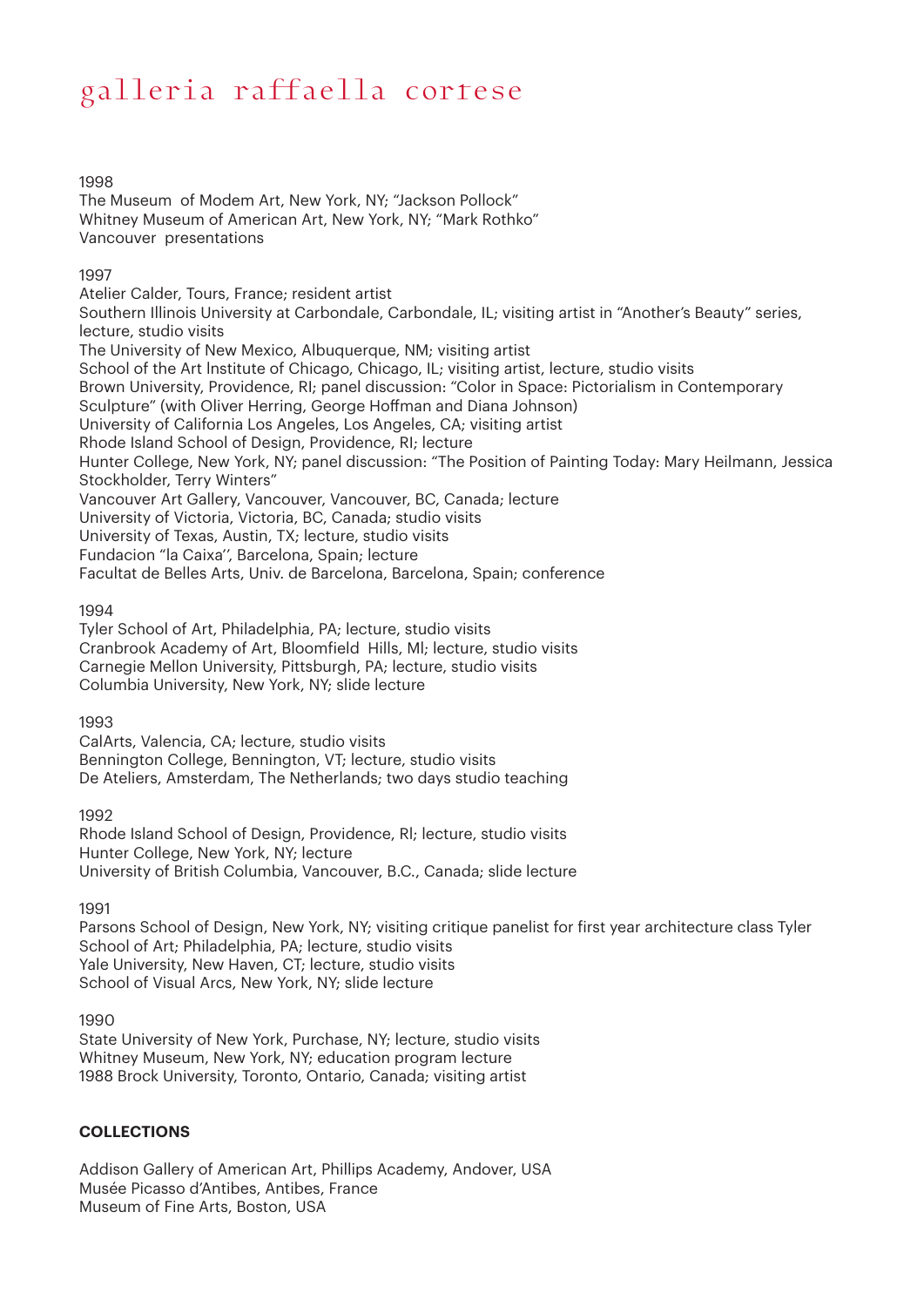#### 1998

The Museum of Modem Art, New York, NY; "Jackson Pollock" Whitney Museum of American Art, New York, NY; "Mark Rothko" Vancouver presentations

## 1997

Atelier Calder, Tours, France; resident artist Southern Illinois University at Carbondale, Carbondale, IL; visiting artist in "Another's Beauty" series, lecture, studio visits The University of New Mexico, Albuquerque, NM; visiting artist School of the Art Institute of Chicago, Chicago, IL; visiting artist, lecture, studio visits Brown University, Providence, RI; panel discussion: "Color in Space: Pictorialism in Contemporary Sculpture" (with Oliver Herring, George Hoffman and Diana Johnson) University of California Los Angeles, Los Angeles, CA; visiting artist Rhode Island School of Design, Providence, RI; lecture Hunter College, New York, NY; panel discussion: "The Position of Painting Today: Mary Heilmann, Jessica Stockholder, Terry Winters" Vancouver Art Gallery, Vancouver, Vancouver, BC, Canada; lecture University of Victoria, Victoria, BC, Canada; studio visits University of Texas, Austin, TX; lecture, studio visits Fundacion "la Caixa'', Barcelona, Spain; lecture Facultat de Belles Arts, Univ. de Barcelona, Barcelona, Spain; conference

## 1994

Tyler School of Art, Philadelphia, PA; lecture, studio visits Cranbrook Academy of Art, Bloomfield Hills, Ml; lecture, studio visits Carnegie Mellon University, Pittsburgh, PA; lecture, studio visits Columbia University, New York, NY; slide lecture

#### 1993

CalArts, Valencia, CA; lecture, studio visits Bennington College, Bennington, VT; lecture, studio visits De Ateliers, Amsterdam, The Netherlands; two days studio teaching

1992

Rhode Island School of Design, Providence, Rl; lecture, studio visits Hunter College, New York, NY; lecture University of British Columbia, Vancouver, B.C., Canada; slide lecture

1991

Parsons School of Design, New York, NY; visiting critique panelist for first year architecture class Tyler School of Art; Philadelphia, PA; lecture, studio visits Yale University, New Haven, CT; lecture, studio visits School of Visual Arcs, New York, NY; slide lecture

#### 1990

State University of New York, Purchase, NY; lecture, studio visits Whitney Museum, New York, NY; education program lecture 1988 Brock University, Toronto, Ontario, Canada; visiting artist

## **COLLECTIONS**

Addison Gallery of American Art, Phillips Academy, Andover, USA Musée Picasso d'Antibes, Antibes, France Museum of Fine Arts, Boston, USA